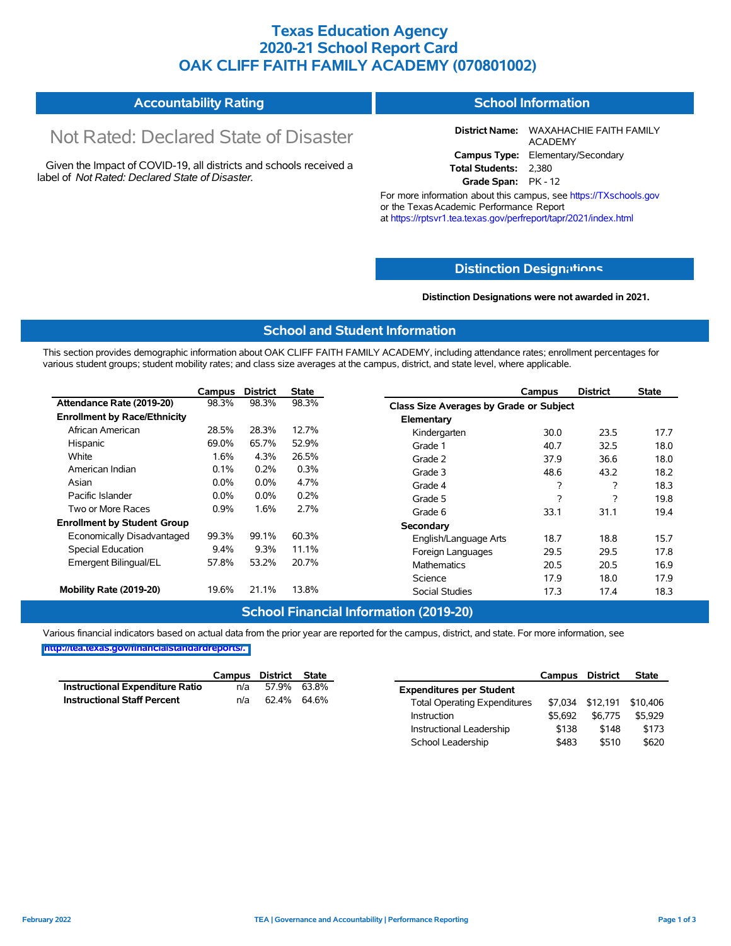## **Texas Education Agency 2020-21 School Report Card OAK CLIFF FAITH FAMILY ACADEMY (070801002)**

# Not Rated: Declared State of Disaster

Given the Impact of COVID-19, all districts and schools received a label of *Not Rated: Declared State of Disaster.*

**District Name:** WAXAHACHIE FAITH FAMILY ACADEMY **Campus Type:** Elementary/Secondary **Total Students:** 2,380

**Grade Span:** PK - 12

For more information about this campus, see https://TXschools.gov or the Texas Academic Performance Report at https://rptsvr1.tea.texas.gov/perfreport/tapr/2021/index.html

### **Distinction Design[ations](https://TXschools.gov)**

**Distinction Designations were not awarded in 2021.**

#### **School and Student Information**

This section provides demographic information about OAK CLIFF FAITH FAMILY ACADEMY, including attendance rates; enrollment percentages for various student groups; student mobility rates; and class size averages at the campus, district, and state level, where applicable.

|                                     | Campus  | <b>District</b> | <b>State</b> | <b>District</b><br>Campus               | <b>State</b> |
|-------------------------------------|---------|-----------------|--------------|-----------------------------------------|--------------|
| Attendance Rate (2019-20)           | 98.3%   | 98.3%           | 98.3%        | Class Size Averages by Grade or Subject |              |
| <b>Enrollment by Race/Ethnicity</b> |         |                 |              | Elementary                              |              |
| African American                    | 28.5%   | 28.3%           | 12.7%        | 23.5<br>Kindergarten<br>30.0            | 17.7         |
| Hispanic                            | 69.0%   | 65.7%           | 52.9%        | 32.5<br>40.7<br>Grade 1                 | 18.0         |
| White                               | 1.6%    | 4.3%            | 26.5%        | 36.6<br>Grade 2<br>37.9                 | 18.0         |
| American Indian                     | 0.1%    | 0.2%            | 0.3%         | 43.2<br>Grade 3<br>48.6                 | 18.2         |
| Asian                               | $0.0\%$ | $0.0\%$         | 4.7%         | 2<br>2<br>Grade 4                       | 18.3         |
| Pacific Islander                    | $0.0\%$ | $0.0\%$         | 0.2%         | 2<br>2<br>Grade 5                       | 19.8         |
| Two or More Races                   | 0.9%    | 1.6%            | 2.7%         | 31.1<br>Grade 6<br>33.1                 | 19.4         |
| <b>Enrollment by Student Group</b>  |         |                 |              | Secondary                               |              |
| Economically Disadvantaged          | 99.3%   | 99.1%           | 60.3%        | 18.7<br>18.8<br>English/Language Arts   | 15.7         |
| Special Education                   | $9.4\%$ | 9.3%            | 11.1%        | 29.5<br>29.5<br>Foreign Languages       | 17.8         |
| Emergent Bilingual/EL               | 57.8%   | 53.2%           | 20.7%        | <b>Mathematics</b><br>20.5<br>20.5      | 16.9         |
|                                     |         |                 |              | 17.9<br>18.0<br>Science                 | 17.9         |
| Mobility Rate (2019-20)             | 19.6%   | 21.1%           | 13.8%        | Social Studies<br>17.3<br>17.4          | 18.3         |

#### **School Financial Information (2019-20)**

Various financial indicators based on actual data from the prior year are reported for the campus, district, and state. For more information, see **[http://tea.texas.gov/financialstandardreports/.](http://tea.texas.gov/financialstandardreports/)**

|                                    | Campus | District State |             |                                     | Campus  | <b>District</b>  | <b>State</b> |
|------------------------------------|--------|----------------|-------------|-------------------------------------|---------|------------------|--------------|
| Instructional Expenditure Ratio    | n/a    |                | 57.9% 63.8% | <b>Expenditures per Student</b>     |         |                  |              |
| <b>Instructional Staff Percent</b> | n/a    | 62.4% 64.6%    |             | <b>Total Operating Expenditures</b> |         | \$7,034 \$12,191 | \$10,406     |
|                                    |        |                |             | Instruction                         | \$5.692 | \$6.775          | \$5,929      |
|                                    |        |                |             | Instructional Leadership            | \$138   | \$148            | \$173        |
|                                    |        |                |             | School Leadership                   | \$483   | \$510            | \$620        |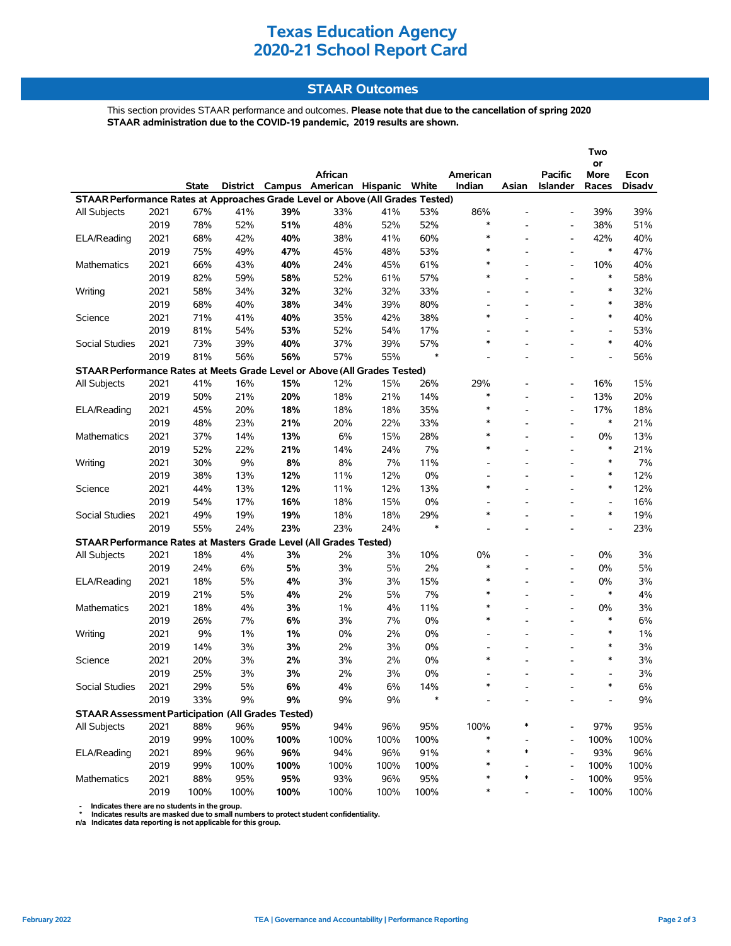## **Texas Education Agency 2020-21 School Report Card**

## **STAAR Outcomes**

This section provides STAAR performance and outcomes. **Please note that due to the cancellation of spring 2020 STAAR administration due to the COVID-19 pandemic, 2019 results are shown.**

|                                                                                |      |       |      |       | African                                 |       |        |                          |                          | <b>Pacific</b>           | Two<br>or                |                       |
|--------------------------------------------------------------------------------|------|-------|------|-------|-----------------------------------------|-------|--------|--------------------------|--------------------------|--------------------------|--------------------------|-----------------------|
|                                                                                |      | State |      |       | District Campus American Hispanic White |       |        | American<br>Indian       | Asian                    | <b>Islander</b>          | More<br>Races            | Econ<br><b>Disadv</b> |
| STAAR Performance Rates at Approaches Grade Level or Above (All Grades Tested) |      |       |      |       |                                         |       |        |                          |                          |                          |                          |                       |
| <b>All Subjects</b>                                                            | 2021 | 67%   | 41%  | 39%   | 33%                                     | 41%   | 53%    | 86%                      |                          |                          | 39%                      | 39%                   |
|                                                                                | 2019 | 78%   | 52%  | 51%   | 48%                                     | 52%   | 52%    | $\ast$                   | ۰                        | $\blacksquare$           | 38%                      | 51%                   |
| ELA/Reading                                                                    | 2021 | 68%   | 42%  | 40%   | 38%                                     | 41%   | 60%    | $\ast$                   |                          | $\overline{\phantom{a}}$ | 42%                      | 40%                   |
|                                                                                | 2019 | 75%   | 49%  | 47%   | 45%                                     | 48%   | 53%    | $\ast$                   |                          |                          | $\ast$                   | 47%                   |
| <b>Mathematics</b>                                                             | 2021 | 66%   | 43%  | 40%   | 24%                                     | 45%   | 61%    | $\ast$                   |                          | $\blacksquare$           | 10%                      | 40%                   |
|                                                                                | 2019 | 82%   | 59%  | 58%   | 52%                                     | 61%   | 57%    | $\ast$                   |                          | $\overline{a}$           | $\ast$                   | 58%                   |
| Writing                                                                        | 2021 | 58%   | 34%  | 32%   | 32%                                     | 32%   | 33%    | $\overline{a}$           |                          |                          | $\ast$                   | 32%                   |
|                                                                                | 2019 | 68%   | 40%  | 38%   | 34%                                     | 39%   | 80%    | $\overline{\phantom{a}}$ | $\overline{\phantom{a}}$ | ۰                        | $\ast$                   | 38%                   |
| Science                                                                        | 2021 | 71%   | 41%  | 40%   | 35%                                     | 42%   | 38%    | $\ast$                   |                          |                          | $\ast$                   | 40%                   |
|                                                                                | 2019 | 81%   | 54%  | 53%   | 52%                                     | 54%   | 17%    |                          |                          |                          | $\overline{\phantom{a}}$ | 53%                   |
| Social Studies                                                                 | 2021 | 73%   | 39%  | 40%   | 37%                                     | 39%   | 57%    | $\ast$                   | L.                       |                          | $\ast$                   | 40%                   |
|                                                                                | 2019 | 81%   | 56%  | 56%   | 57%                                     | 55%   | $\ast$ |                          |                          |                          | $\overline{a}$           | 56%                   |
| STAAR Performance Rates at Meets Grade Level or Above (All Grades Tested)      |      |       |      |       |                                         |       |        |                          |                          |                          |                          |                       |
| All Subjects                                                                   | 2021 | 41%   | 16%  | 15%   | 12%                                     | 15%   | 26%    | 29%                      |                          | $\blacksquare$           | 16%                      | 15%                   |
|                                                                                | 2019 | 50%   | 21%  | 20%   | 18%                                     | 21%   | 14%    | $\ast$                   |                          | $\overline{\phantom{a}}$ | 13%                      | 20%                   |
| ELA/Reading                                                                    | 2021 | 45%   | 20%  | 18%   | 18%                                     | 18%   | 35%    | $\ast$                   |                          | $\blacksquare$           | 17%                      | 18%                   |
|                                                                                | 2019 | 48%   | 23%  | 21%   | 20%                                     | 22%   | 33%    | $\ast$                   |                          | $\overline{a}$           | $\ast$                   | 21%                   |
| Mathematics                                                                    | 2021 | 37%   | 14%  | 13%   | 6%                                      | 15%   | 28%    | $\ast$                   |                          |                          | 0%                       | 13%                   |
|                                                                                | 2019 | 52%   | 22%  | 21%   | 14%                                     | 24%   | 7%     | $\ast$                   |                          | $\overline{a}$           | $\ast$                   | 21%                   |
| Writing                                                                        | 2021 | 30%   | 9%   | 8%    | 8%                                      | 7%    | 11%    | $\overline{\phantom{0}}$ |                          |                          | $\ast$                   | 7%                    |
|                                                                                | 2019 | 38%   | 13%  | 12%   | 11%                                     | 12%   | 0%     | $\overline{\phantom{a}}$ | L,                       |                          | $\ast$                   | 12%                   |
| Science                                                                        | 2021 | 44%   | 13%  | 12%   | 11%                                     | 12%   | 13%    | $\ast$                   |                          |                          | $\ast$                   | 12%                   |
|                                                                                | 2019 | 54%   | 17%  | 16%   | 18%                                     | 15%   | 0%     |                          |                          |                          | $\overline{\phantom{a}}$ | 16%                   |
| Social Studies                                                                 | 2021 | 49%   | 19%  | 19%   | 18%                                     | 18%   | 29%    | $\ast$                   |                          |                          | $\ast$                   | 19%                   |
|                                                                                | 2019 | 55%   | 24%  | 23%   | 23%                                     | 24%   | $\ast$ |                          | L.                       | $\overline{a}$           | $\overline{\phantom{a}}$ | 23%                   |
| STAAR Performance Rates at Masters Grade Level (All Grades Tested)             |      |       |      |       |                                         |       |        |                          |                          |                          |                          |                       |
| All Subjects                                                                   | 2021 | 18%   | 4%   | 3%    | 2%                                      | 3%    | 10%    | 0%                       |                          |                          | 0%                       | 3%                    |
|                                                                                | 2019 | 24%   | 6%   | 5%    | 3%                                      | 5%    | 2%     | $\ast$                   |                          | ۰                        | 0%                       | 5%                    |
| ELA/Reading                                                                    | 2021 | 18%   | 5%   | 4%    | 3%                                      | 3%    | 15%    | $\ast$                   |                          |                          | 0%                       | 3%                    |
|                                                                                | 2019 | 21%   | 5%   | 4%    | 2%                                      | 5%    | 7%     | $\ast$                   |                          |                          | $\ast$                   | 4%                    |
| Mathematics                                                                    | 2021 | 18%   | 4%   | 3%    | $1\%$                                   | 4%    | 11%    | $\ast$                   |                          |                          | 0%                       | 3%                    |
|                                                                                | 2019 | 26%   | 7%   | 6%    | 3%                                      | 7%    | 0%     | $\ast$                   |                          |                          | $\ast$                   | 6%                    |
| Writing                                                                        | 2021 | 9%    | 1%   | 1%    | 0%                                      | 2%    | 0%     | $\overline{\phantom{a}}$ | ۰                        | $\overline{\phantom{a}}$ | $\ast$                   | 1%                    |
|                                                                                | 2019 | 14%   | 3%   | 3%    | 2%                                      | 3%    | 0%     | $\overline{\phantom{a}}$ |                          |                          | $\ast$                   | 3%                    |
| Science                                                                        | 2021 | 20%   | 3%   | 2%    | 3%                                      | 2%    | 0%     | $\ast$                   |                          |                          | $\ast$                   | 3%                    |
|                                                                                | 2019 | 25%   | 3%   | 3%    | 2%                                      | 3%    | 0%     |                          |                          |                          | $\blacksquare$           | 3%                    |
| Social Studies                                                                 | 2021 | 29%   | 5%   | $6\%$ | $4\%$                                   | $6\%$ | 14%    |                          |                          |                          |                          | $6\%$                 |
|                                                                                | 2019 | 33%   | 9%   | $9\%$ | 9%                                      | 9%    | $\ast$ |                          |                          |                          |                          | 9%                    |
| <b>STAAR Assessment Participation (All Grades Tested)</b>                      |      |       |      |       |                                         |       |        |                          |                          |                          |                          |                       |
| All Subjects                                                                   | 2021 | 88%   | 96%  | 95%   | 94%                                     | 96%   | 95%    | 100%                     |                          |                          | 97%                      | 95%                   |
|                                                                                | 2019 | 99%   | 100% | 100%  | 100%                                    | 100%  | 100%   | *                        |                          |                          | 100%                     | 100%                  |
| ELA/Reading                                                                    | 2021 | 89%   | 96%  | 96%   | 94%                                     | 96%   | 91%    | *                        | $\ast$                   |                          | 93%                      | 96%                   |
|                                                                                | 2019 | 99%   | 100% | 100%  | 100%                                    | 100%  | 100%   | *                        |                          |                          | 100%                     | 100%                  |
| Mathematics                                                                    | 2021 | 88%   | 95%  | 95%   | 93%                                     | 96%   | 95%    | *                        | $\ast$                   |                          | 100%                     | 95%                   |
|                                                                                | 2019 | 100%  | 100% | 100%  | 100%                                    | 100%  | 100%   | ∗                        |                          |                          | 100%                     | 100%                  |

- Indicates there are no students in the group.<br>\* Indicates results are masked due to small numbers to protect student confidentiality.<br>n/a Indicates data reporting is not applicable for this group.